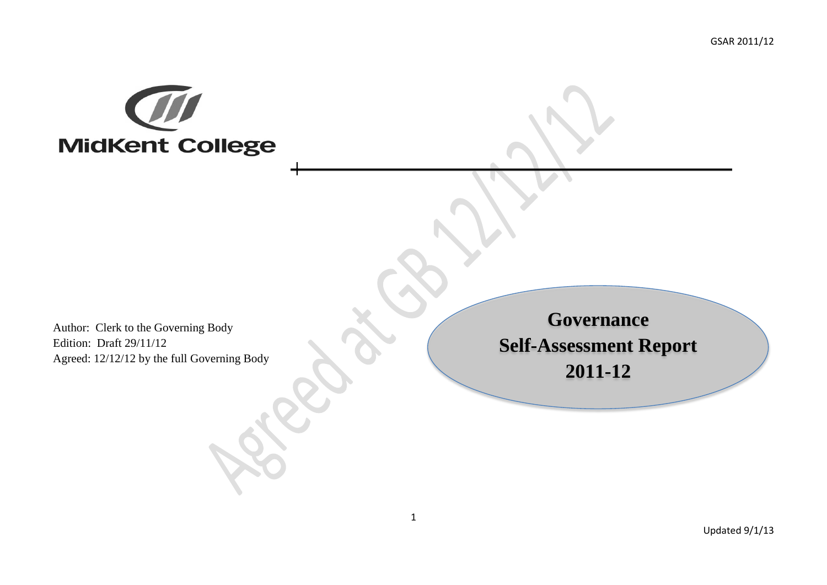

Author: Clerk to the Governing Body Edition: Draft 29/11/12 Agreed: 12/12/12 by the full Governing Body

**Governance Self-Assessment Report 2011-12**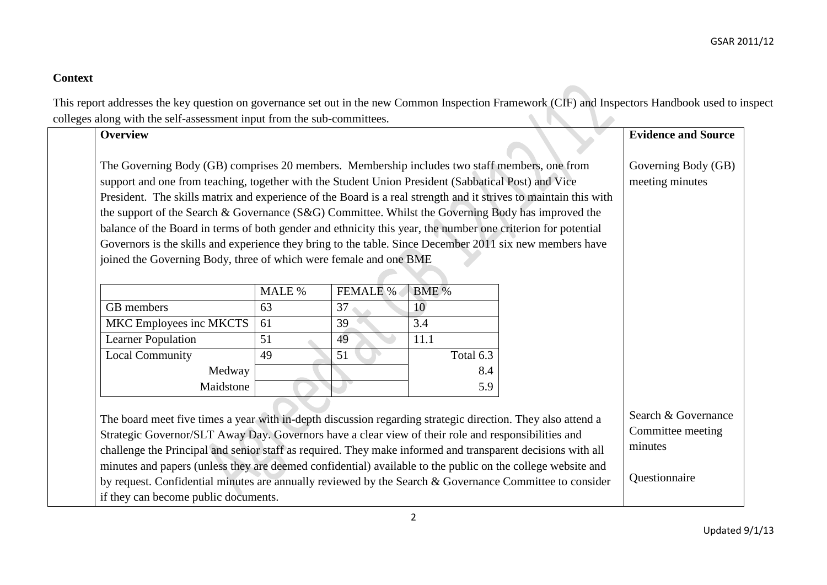## **Context**

This report addresses the key question on governance set out in the new Common Inspection Framework (CIF) and Inspectors Handbook used to inspect<br>colleges along with the self assessment input from the sub-committees. colleges along with the self-assessment input from the sub-committees.  $\sim$ 

| <b>Overview</b>                                                                                                                                                                                                                                                                                                                                                                                                                                                                                                                                                                                                                                            |        |                 |           | <b>Evidence and Source</b>                                           |
|------------------------------------------------------------------------------------------------------------------------------------------------------------------------------------------------------------------------------------------------------------------------------------------------------------------------------------------------------------------------------------------------------------------------------------------------------------------------------------------------------------------------------------------------------------------------------------------------------------------------------------------------------------|--------|-----------------|-----------|----------------------------------------------------------------------|
| The Governing Body (GB) comprises 20 members. Membership includes two staff members, one from<br>support and one from teaching, together with the Student Union President (Sabbatical Post) and Vice<br>President. The skills matrix and experience of the Board is a real strength and it strives to maintain this with<br>the support of the Search & Governance (S&G) Committee. Whilst the Governing Body has improved the<br>balance of the Board in terms of both gender and ethnicity this year, the number one criterion for potential<br>Governors is the skills and experience they bring to the table. Since December 2011 six new members have |        |                 |           | Governing Body (GB)<br>meeting minutes                               |
| joined the Governing Body, three of which were female and one BME                                                                                                                                                                                                                                                                                                                                                                                                                                                                                                                                                                                          |        |                 |           |                                                                      |
|                                                                                                                                                                                                                                                                                                                                                                                                                                                                                                                                                                                                                                                            | MALE % | <b>FEMALE %</b> | BME %     |                                                                      |
| GB members                                                                                                                                                                                                                                                                                                                                                                                                                                                                                                                                                                                                                                                 | 63     | 37              | 10        |                                                                      |
| MKC Employees inc MKCTS                                                                                                                                                                                                                                                                                                                                                                                                                                                                                                                                                                                                                                    | 61     | 39              | 3.4       |                                                                      |
| <b>Learner Population</b>                                                                                                                                                                                                                                                                                                                                                                                                                                                                                                                                                                                                                                  | 51     | 49              | 11.1      |                                                                      |
| <b>Local Community</b>                                                                                                                                                                                                                                                                                                                                                                                                                                                                                                                                                                                                                                     | 49     | 51              | Total 6.3 |                                                                      |
| Medway                                                                                                                                                                                                                                                                                                                                                                                                                                                                                                                                                                                                                                                     |        |                 | 8.4       |                                                                      |
| Maidstone                                                                                                                                                                                                                                                                                                                                                                                                                                                                                                                                                                                                                                                  |        |                 | 5.9       |                                                                      |
| The board meet five times a year with in-depth discussion regarding strategic direction. They also attend a<br>Strategic Governor/SLT Away Day. Governors have a clear view of their role and responsibilities and<br>challenge the Principal and senior staff as required. They make informed and transparent decisions with all<br>minutes and papers (unless they are deemed confidential) available to the public on the college website and                                                                                                                                                                                                           |        |                 |           | Search & Governance<br>Committee meeting<br>minutes<br>Questionnaire |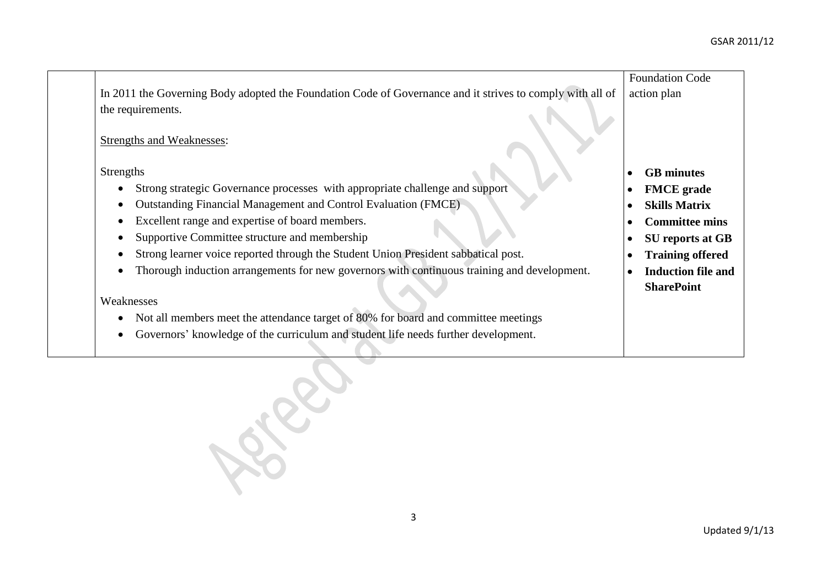|                                                                                                           | <b>Foundation Code</b>    |
|-----------------------------------------------------------------------------------------------------------|---------------------------|
| In 2011 the Governing Body adopted the Foundation Code of Governance and it strives to comply with all of | action plan               |
| the requirements.                                                                                         |                           |
| <b>Strengths and Weaknesses:</b>                                                                          |                           |
| <b>Strengths</b>                                                                                          | <b>GB</b> minutes         |
| Strong strategic Governance processes with appropriate challenge and support                              | <b>FMCE</b> grade         |
| Outstanding Financial Management and Control Evaluation (FMCE)                                            | <b>Skills Matrix</b>      |
| Excellent range and expertise of board members.                                                           | <b>Committee mins</b>     |
| Supportive Committee structure and membership                                                             | <b>SU</b> reports at GB   |
| Strong learner voice reported through the Student Union President sabbatical post.                        | <b>Training offered</b>   |
| Thorough induction arrangements for new governors with continuous training and development.               | <b>Induction file and</b> |
| Weaknesses                                                                                                | <b>SharePoint</b>         |
| Not all members meet the attendance target of 80% for board and committee meetings                        |                           |
| Governors' knowledge of the curriculum and student life needs further development.                        |                           |
|                                                                                                           |                           |
|                                                                                                           |                           |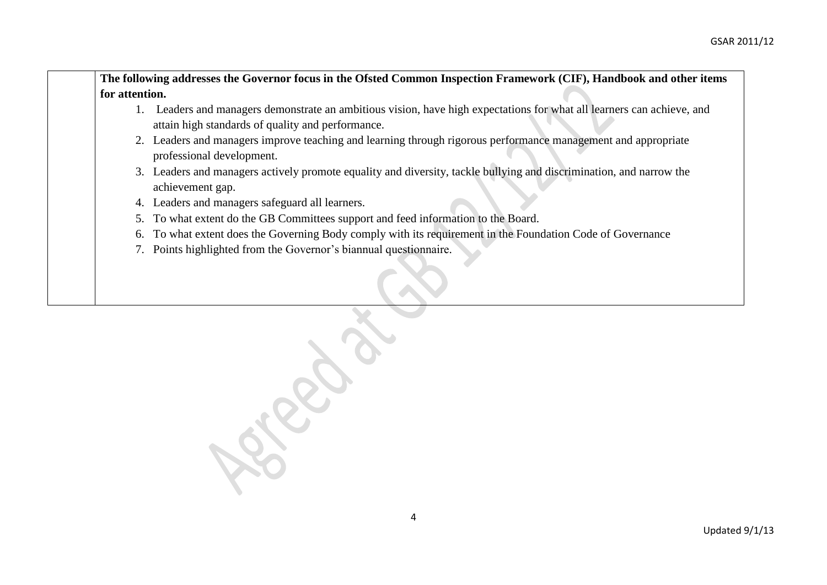|                | The following addresses the Governor focus in the Ofsted Common Inspection Framework (CIF), Handbook and other items                                                        |
|----------------|-----------------------------------------------------------------------------------------------------------------------------------------------------------------------------|
| for attention. |                                                                                                                                                                             |
|                | 1. Leaders and managers demonstrate an ambitious vision, have high expectations for what all learners can achieve, and<br>attain high standards of quality and performance. |
|                | 2. Leaders and managers improve teaching and learning through rigorous performance management and appropriate<br>professional development.                                  |
|                | 3. Leaders and managers actively promote equality and diversity, tackle bullying and discrimination, and narrow the<br>achievement gap.                                     |
| 4.             | Leaders and managers safeguard all learners.                                                                                                                                |
| 5.             | To what extent do the GB Committees support and feed information to the Board.                                                                                              |
| 6.             | To what extent does the Governing Body comply with its requirement in the Foundation Code of Governance                                                                     |
|                | 7. Points highlighted from the Governor's biannual questionnaire.                                                                                                           |
|                |                                                                                                                                                                             |
|                |                                                                                                                                                                             |
|                |                                                                                                                                                                             |

September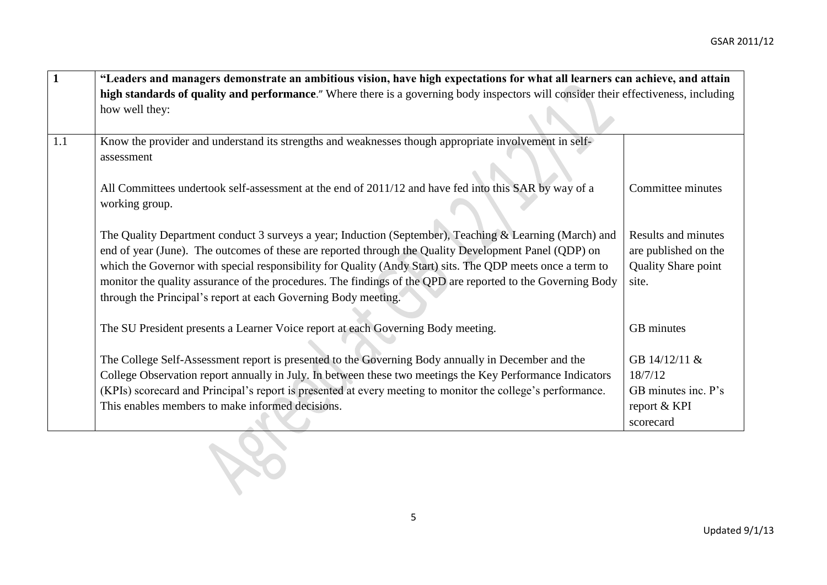| $\mathbf{1}$ | "Leaders and managers demonstrate an ambitious vision, have high expectations for what all learners can achieve, and attain                                                                                                                                                                                                                                                                                                                                                                                     |                                                                                    |  |
|--------------|-----------------------------------------------------------------------------------------------------------------------------------------------------------------------------------------------------------------------------------------------------------------------------------------------------------------------------------------------------------------------------------------------------------------------------------------------------------------------------------------------------------------|------------------------------------------------------------------------------------|--|
|              | high standards of quality and performance." Where there is a governing body inspectors will consider their effectiveness, including                                                                                                                                                                                                                                                                                                                                                                             |                                                                                    |  |
|              | how well they:                                                                                                                                                                                                                                                                                                                                                                                                                                                                                                  |                                                                                    |  |
|              |                                                                                                                                                                                                                                                                                                                                                                                                                                                                                                                 |                                                                                    |  |
| 1.1          | Know the provider and understand its strengths and weaknesses though appropriate involvement in self-<br>assessment                                                                                                                                                                                                                                                                                                                                                                                             |                                                                                    |  |
|              | All Committees undertook self-assessment at the end of 2011/12 and have fed into this SAR by way of a<br>working group.                                                                                                                                                                                                                                                                                                                                                                                         | Committee minutes                                                                  |  |
|              | The Quality Department conduct 3 surveys a year; Induction (September), Teaching & Learning (March) and<br>end of year (June). The outcomes of these are reported through the Quality Development Panel (QDP) on<br>which the Governor with special responsibility for Quality (Andy Start) sits. The QDP meets once a term to<br>monitor the quality assurance of the procedures. The findings of the QPD are reported to the Governing Body<br>through the Principal's report at each Governing Body meeting. | <b>Results and minutes</b><br>are published on the<br>Quality Share point<br>site. |  |
|              | The SU President presents a Learner Voice report at each Governing Body meeting.                                                                                                                                                                                                                                                                                                                                                                                                                                | GB minutes                                                                         |  |
|              | The College Self-Assessment report is presented to the Governing Body annually in December and the<br>College Observation report annually in July. In between these two meetings the Key Performance Indicators<br>(KPIs) scorecard and Principal's report is presented at every meeting to monitor the college's performance.<br>This enables members to make informed decisions.                                                                                                                              | GB 14/12/11 &<br>18/7/12<br>GB minutes inc. P's<br>report & KPI<br>scorecard       |  |
|              |                                                                                                                                                                                                                                                                                                                                                                                                                                                                                                                 |                                                                                    |  |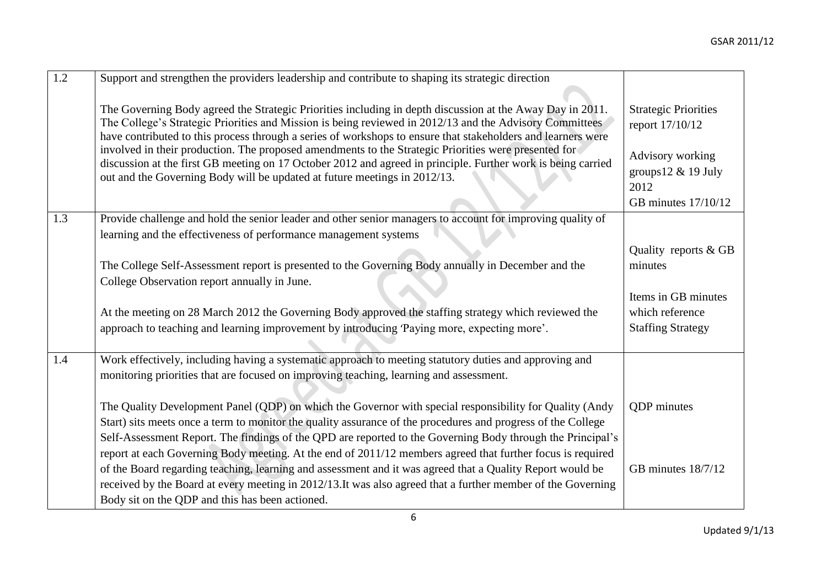| 1.2 | Support and strengthen the providers leadership and contribute to shaping its strategic direction                                                                                                                                                                                                                                                                                                                                                                                                                                                                                                                                         |                                                                                                                             |
|-----|-------------------------------------------------------------------------------------------------------------------------------------------------------------------------------------------------------------------------------------------------------------------------------------------------------------------------------------------------------------------------------------------------------------------------------------------------------------------------------------------------------------------------------------------------------------------------------------------------------------------------------------------|-----------------------------------------------------------------------------------------------------------------------------|
|     | The Governing Body agreed the Strategic Priorities including in depth discussion at the Away Day in 2011.<br>The College's Strategic Priorities and Mission is being reviewed in 2012/13 and the Advisory Committees<br>have contributed to this process through a series of workshops to ensure that stakeholders and learners were<br>involved in their production. The proposed amendments to the Strategic Priorities were presented for<br>discussion at the first GB meeting on 17 October 2012 and agreed in principle. Further work is being carried<br>out and the Governing Body will be updated at future meetings in 2012/13. | <b>Strategic Priorities</b><br>report 17/10/12<br>Advisory working<br>groups $12 \& 19$ July<br>2012<br>GB minutes 17/10/12 |
| 1.3 | Provide challenge and hold the senior leader and other senior managers to account for improving quality of                                                                                                                                                                                                                                                                                                                                                                                                                                                                                                                                |                                                                                                                             |
|     | learning and the effectiveness of performance management systems                                                                                                                                                                                                                                                                                                                                                                                                                                                                                                                                                                          |                                                                                                                             |
|     | The College Self-Assessment report is presented to the Governing Body annually in December and the<br>College Observation report annually in June.                                                                                                                                                                                                                                                                                                                                                                                                                                                                                        | Quality reports & GB<br>minutes                                                                                             |
|     |                                                                                                                                                                                                                                                                                                                                                                                                                                                                                                                                                                                                                                           | Items in GB minutes                                                                                                         |
|     | At the meeting on 28 March 2012 the Governing Body approved the staffing strategy which reviewed the                                                                                                                                                                                                                                                                                                                                                                                                                                                                                                                                      | which reference                                                                                                             |
|     | approach to teaching and learning improvement by introducing 'Paying more, expecting more'.                                                                                                                                                                                                                                                                                                                                                                                                                                                                                                                                               | <b>Staffing Strategy</b>                                                                                                    |
| 1.4 | Work effectively, including having a systematic approach to meeting statutory duties and approving and<br>monitoring priorities that are focused on improving teaching, learning and assessment.                                                                                                                                                                                                                                                                                                                                                                                                                                          |                                                                                                                             |
|     | The Quality Development Panel (QDP) on which the Governor with special responsibility for Quality (Andy<br>Start) sits meets once a term to monitor the quality assurance of the procedures and progress of the College<br>Self-Assessment Report. The findings of the QPD are reported to the Governing Body through the Principal's<br>report at each Governing Body meeting. At the end of 2011/12 members agreed that further focus is required                                                                                                                                                                                       | <b>QDP</b> minutes                                                                                                          |
|     | of the Board regarding teaching, learning and assessment and it was agreed that a Quality Report would be<br>received by the Board at every meeting in 2012/13. It was also agreed that a further member of the Governing<br>Body sit on the QDP and this has been actioned.                                                                                                                                                                                                                                                                                                                                                              | GB minutes 18/7/12                                                                                                          |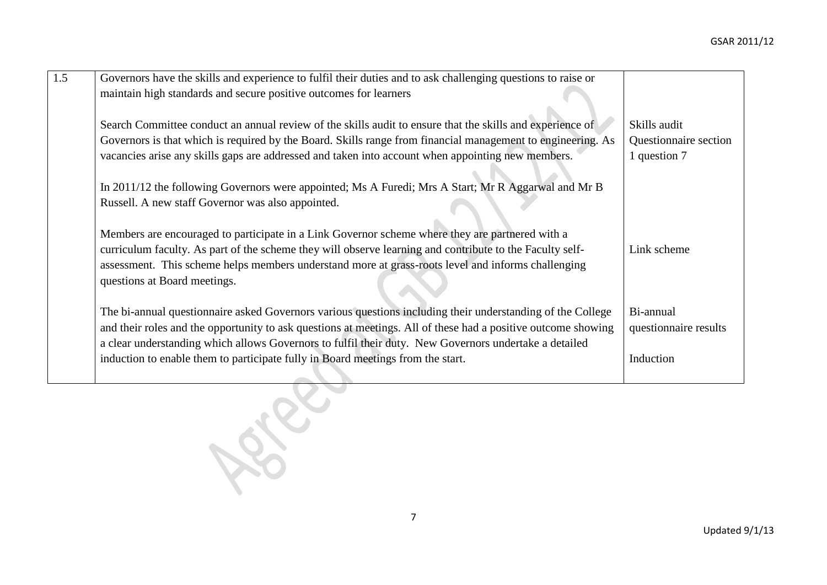| 1.5 | Governors have the skills and experience to fulfil their duties and to ask challenging questions to raise or<br>maintain high standards and secure positive outcomes for learners                                                                                                                                                                 |                                                       |
|-----|---------------------------------------------------------------------------------------------------------------------------------------------------------------------------------------------------------------------------------------------------------------------------------------------------------------------------------------------------|-------------------------------------------------------|
|     | Search Committee conduct an annual review of the skills audit to ensure that the skills and experience of<br>Governors is that which is required by the Board. Skills range from financial management to engineering. As<br>vacancies arise any skills gaps are addressed and taken into account when appointing new members.                     | Skills audit<br>Questionnaire section<br>1 question 7 |
|     | In 2011/12 the following Governors were appointed; Ms A Furedi; Mrs A Start; Mr R Aggarwal and Mr B<br>Russell. A new staff Governor was also appointed.                                                                                                                                                                                          |                                                       |
|     | Members are encouraged to participate in a Link Governor scheme where they are partnered with a<br>curriculum faculty. As part of the scheme they will observe learning and contribute to the Faculty self-<br>assessment. This scheme helps members understand more at grass-roots level and informs challenging<br>questions at Board meetings. | Link scheme                                           |
|     | The bi-annual questionnaire asked Governors various questions including their understanding of the College<br>and their roles and the opportunity to ask questions at meetings. All of these had a positive outcome showing<br>a clear understanding which allows Governors to fulfil their duty. New Governors undertake a detailed              | Bi-annual<br>questionnaire results                    |
|     | induction to enable them to participate fully in Board meetings from the start.                                                                                                                                                                                                                                                                   | Induction                                             |
|     |                                                                                                                                                                                                                                                                                                                                                   |                                                       |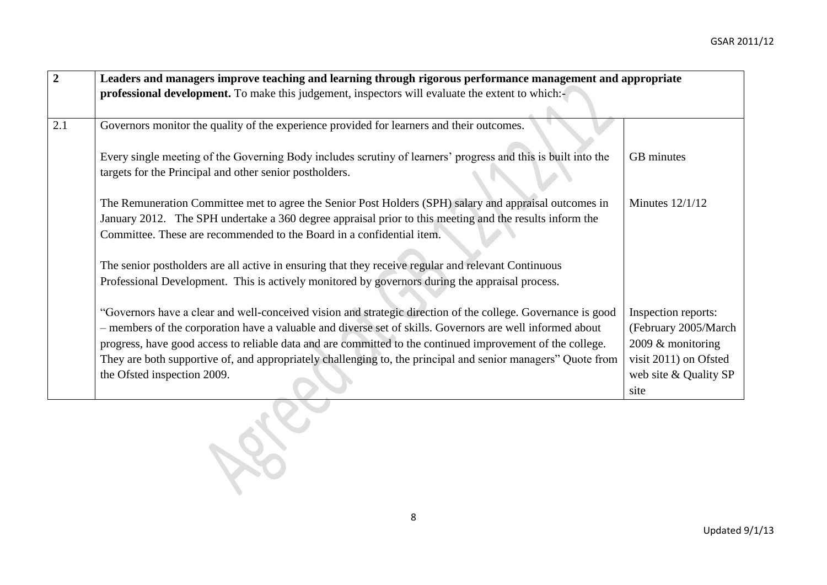| $\boldsymbol{2}$ | Leaders and managers improve teaching and learning through rigorous performance management and appropriate    |                       |  |
|------------------|---------------------------------------------------------------------------------------------------------------|-----------------------|--|
|                  | professional development. To make this judgement, inspectors will evaluate the extent to which:-              |                       |  |
|                  |                                                                                                               |                       |  |
| 2.1              | Governors monitor the quality of the experience provided for learners and their outcomes.                     |                       |  |
|                  |                                                                                                               |                       |  |
|                  | Every single meeting of the Governing Body includes scrutiny of learners' progress and this is built into the | GB minutes            |  |
|                  | targets for the Principal and other senior postholders.                                                       |                       |  |
|                  |                                                                                                               |                       |  |
|                  | The Remuneration Committee met to agree the Senior Post Holders (SPH) salary and appraisal outcomes in        | Minutes $12/1/12$     |  |
|                  | January 2012. The SPH undertake a 360 degree appraisal prior to this meeting and the results inform the       |                       |  |
|                  | Committee. These are recommended to the Board in a confidential item.                                         |                       |  |
|                  |                                                                                                               |                       |  |
|                  | The senior postholders are all active in ensuring that they receive regular and relevant Continuous           |                       |  |
|                  | Professional Development. This is actively monitored by governors during the appraisal process.               |                       |  |
|                  |                                                                                                               |                       |  |
|                  | "Governors have a clear and well-conceived vision and strategic direction of the college. Governance is good  | Inspection reports:   |  |
|                  | - members of the corporation have a valuable and diverse set of skills. Governors are well informed about     | (February 2005/March  |  |
|                  | progress, have good access to reliable data and are committed to the continued improvement of the college.    | 2009 & monitoring     |  |
|                  | They are both supportive of, and appropriately challenging to, the principal and senior managers" Quote from  | visit 2011) on Ofsted |  |
|                  | the Ofsted inspection 2009.                                                                                   | web site & Quality SP |  |
|                  |                                                                                                               | site                  |  |
|                  |                                                                                                               |                       |  |
|                  |                                                                                                               |                       |  |
|                  |                                                                                                               |                       |  |
|                  |                                                                                                               |                       |  |
|                  |                                                                                                               |                       |  |
|                  |                                                                                                               |                       |  |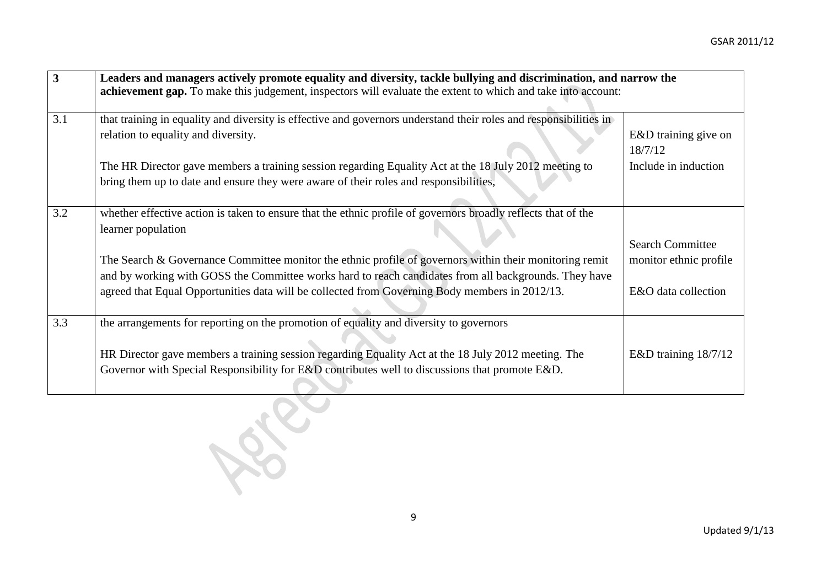| $\overline{\mathbf{3}}$ | Leaders and managers actively promote equality and diversity, tackle bullying and discrimination, and narrow the<br>achievement gap. To make this judgement, inspectors will evaluate the extent to which and take into account:                                                                                                                                                                                                                             |                                                                          |  |
|-------------------------|--------------------------------------------------------------------------------------------------------------------------------------------------------------------------------------------------------------------------------------------------------------------------------------------------------------------------------------------------------------------------------------------------------------------------------------------------------------|--------------------------------------------------------------------------|--|
| 3.1                     | that training in equality and diversity is effective and governors understand their roles and responsibilities in<br>relation to equality and diversity.<br>The HR Director gave members a training session regarding Equality Act at the 18 July 2012 meeting to<br>bring them up to date and ensure they were aware of their roles and responsibilities,                                                                                                   | E&D training give on<br>18/7/12<br>Include in induction                  |  |
| 3.2                     | whether effective action is taken to ensure that the ethnic profile of governors broadly reflects that of the<br>learner population<br>The Search $\&$ Governance Committee monitor the ethnic profile of governors within their monitoring remit<br>and by working with GOSS the Committee works hard to reach candidates from all backgrounds. They have<br>agreed that Equal Opportunities data will be collected from Governing Body members in 2012/13. | <b>Search Committee</b><br>monitor ethnic profile<br>E&O data collection |  |
| 3.3                     | the arrangements for reporting on the promotion of equality and diversity to governors<br>HR Director gave members a training session regarding Equality Act at the 18 July 2012 meeting. The<br>Governor with Special Responsibility for E&D contributes well to discussions that promote E&D.                                                                                                                                                              | E&D training 18/7/12                                                     |  |
|                         |                                                                                                                                                                                                                                                                                                                                                                                                                                                              |                                                                          |  |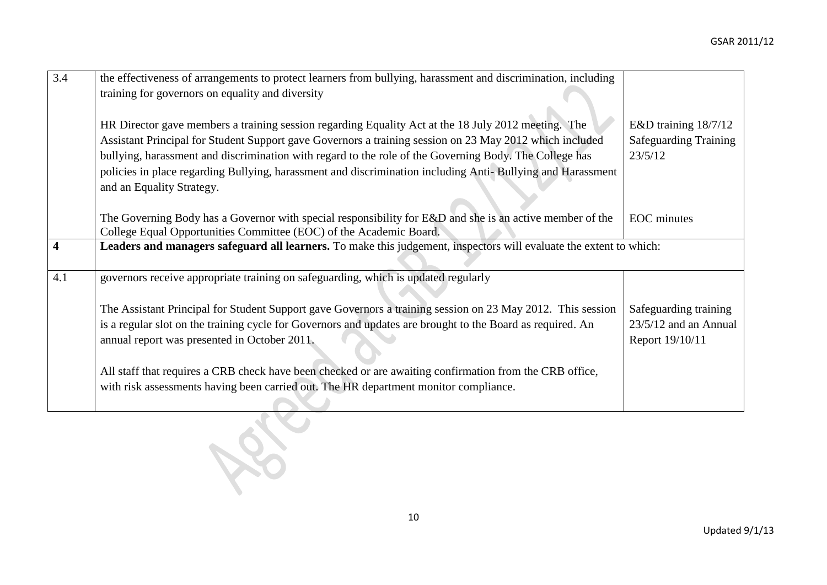| $\overline{3.4}$        | the effectiveness of arrangements to protect learners from bullying, harassment and discrimination, including                                                                            |                              |
|-------------------------|------------------------------------------------------------------------------------------------------------------------------------------------------------------------------------------|------------------------------|
|                         |                                                                                                                                                                                          |                              |
|                         | training for governors on equality and diversity                                                                                                                                         |                              |
|                         |                                                                                                                                                                                          |                              |
|                         | HR Director gave members a training session regarding Equality Act at the 18 July 2012 meeting. The                                                                                      | E&D training 18/7/12         |
|                         | Assistant Principal for Student Support gave Governors a training session on 23 May 2012 which included                                                                                  | <b>Safeguarding Training</b> |
|                         | bullying, harassment and discrimination with regard to the role of the Governing Body. The College has                                                                                   | 23/5/12                      |
|                         | policies in place regarding Bullying, harassment and discrimination including Anti-Bullying and Harassment                                                                               |                              |
|                         | and an Equality Strategy.                                                                                                                                                                |                              |
|                         |                                                                                                                                                                                          |                              |
|                         |                                                                                                                                                                                          |                              |
|                         | The Governing Body has a Governor with special responsibility for E&D and she is an active member of the                                                                                 | <b>EOC</b> minutes           |
|                         | College Equal Opportunities Committee (EOC) of the Academic Board.<br>Leaders and managers safeguard all learners. To make this judgement, inspectors will evaluate the extent to which: |                              |
| $\overline{\mathbf{4}}$ |                                                                                                                                                                                          |                              |
|                         |                                                                                                                                                                                          |                              |
| 4.1                     | governors receive appropriate training on safeguarding, which is updated regularly                                                                                                       |                              |
|                         |                                                                                                                                                                                          |                              |
|                         | The Assistant Principal for Student Support gave Governors a training session on 23 May 2012. This session                                                                               | Safeguarding training        |
|                         | is a regular slot on the training cycle for Governors and updates are brought to the Board as required. An                                                                               | $23/5/12$ and an Annual      |
|                         | annual report was presented in October 2011.                                                                                                                                             | Report 19/10/11              |
|                         |                                                                                                                                                                                          |                              |
|                         | All staff that requires a CRB check have been checked or are awaiting confirmation from the CRB office,                                                                                  |                              |
|                         | with risk assessments having been carried out. The HR department monitor compliance.                                                                                                     |                              |
|                         |                                                                                                                                                                                          |                              |
|                         |                                                                                                                                                                                          |                              |
|                         |                                                                                                                                                                                          |                              |
|                         |                                                                                                                                                                                          |                              |
|                         |                                                                                                                                                                                          |                              |
|                         |                                                                                                                                                                                          |                              |
|                         |                                                                                                                                                                                          |                              |
|                         |                                                                                                                                                                                          |                              |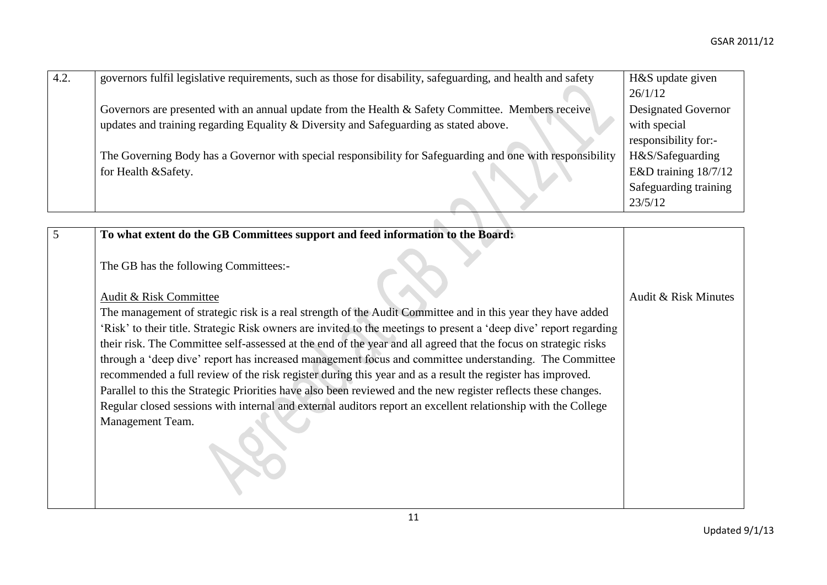| 4.2. | governors fulfil legislative requirements, such as those for disability, safeguarding, and health and safety | H&S update given           |
|------|--------------------------------------------------------------------------------------------------------------|----------------------------|
|      |                                                                                                              | 26/1/12                    |
|      | Governors are presented with an annual update from the Health & Safety Committee. Members receive            | <b>Designated Governor</b> |
|      | updates and training regarding Equality & Diversity and Safeguarding as stated above.                        | with special               |
|      |                                                                                                              | responsibility for:-       |
|      | The Governing Body has a Governor with special responsibility for Safeguarding and one with responsibility   | H&S/Safeguarding           |
|      | for Health &Safety.                                                                                          | E&D training $18/7/12$     |
|      |                                                                                                              | Safeguarding training      |
|      |                                                                                                              | 23/5/12                    |
|      |                                                                                                              |                            |

| $\overline{5}$ | To what extent do the GB Committees support and feed information to the Board:                                     |                      |
|----------------|--------------------------------------------------------------------------------------------------------------------|----------------------|
|                | The GB has the following Committees:-                                                                              |                      |
|                | <b>Audit &amp; Risk Committee</b>                                                                                  | Audit & Risk Minutes |
|                | The management of strategic risk is a real strength of the Audit Committee and in this year they have added        |                      |
|                | 'Risk' to their title. Strategic Risk owners are invited to the meetings to present a 'deep dive' report regarding |                      |
|                | their risk. The Committee self-assessed at the end of the year and all agreed that the focus on strategic risks    |                      |
|                | through a 'deep dive' report has increased management focus and committee understanding. The Committee             |                      |
|                | recommended a full review of the risk register during this year and as a result the register has improved.         |                      |
|                | Parallel to this the Strategic Priorities have also been reviewed and the new register reflects these changes.     |                      |
|                | Regular closed sessions with internal and external auditors report an excellent relationship with the College      |                      |
|                | Management Team.                                                                                                   |                      |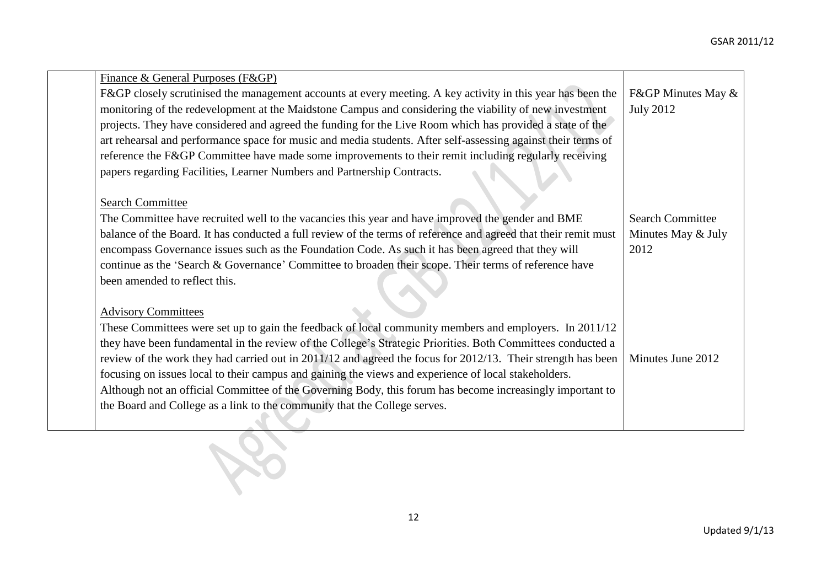| Finance & General Purposes (F&GP)                                                                               |                         |
|-----------------------------------------------------------------------------------------------------------------|-------------------------|
| F&GP closely scrutinised the management accounts at every meeting. A key activity in this year has been the     | F&GP Minutes May &      |
| monitoring of the redevelopment at the Maidstone Campus and considering the viability of new investment         | <b>July 2012</b>        |
| projects. They have considered and agreed the funding for the Live Room which has provided a state of the       |                         |
| art rehearsal and performance space for music and media students. After self-assessing against their terms of   |                         |
| reference the F&GP Committee have made some improvements to their remit including regularly receiving           |                         |
| papers regarding Facilities, Learner Numbers and Partnership Contracts.                                         |                         |
| <b>Search Committee</b>                                                                                         |                         |
| The Committee have recruited well to the vacancies this year and have improved the gender and BME               | <b>Search Committee</b> |
| balance of the Board. It has conducted a full review of the terms of reference and agreed that their remit must | Minutes May & July      |
| encompass Governance issues such as the Foundation Code. As such it has been agreed that they will              | 2012                    |
| continue as the 'Search & Governance' Committee to broaden their scope. Their terms of reference have           |                         |
| been amended to reflect this.                                                                                   |                         |
|                                                                                                                 |                         |
| <b>Advisory Committees</b>                                                                                      |                         |
| These Committees were set up to gain the feedback of local community members and employers. In 2011/12          |                         |
| they have been fundamental in the review of the College's Strategic Priorities. Both Committees conducted a     |                         |
| review of the work they had carried out in 2011/12 and agreed the focus for 2012/13. Their strength has been    | Minutes June 2012       |
| focusing on issues local to their campus and gaining the views and experience of local stakeholders.            |                         |
| Although not an official Committee of the Governing Body, this forum has become increasingly important to       |                         |
| the Board and College as a link to the community that the College serves.                                       |                         |
|                                                                                                                 |                         |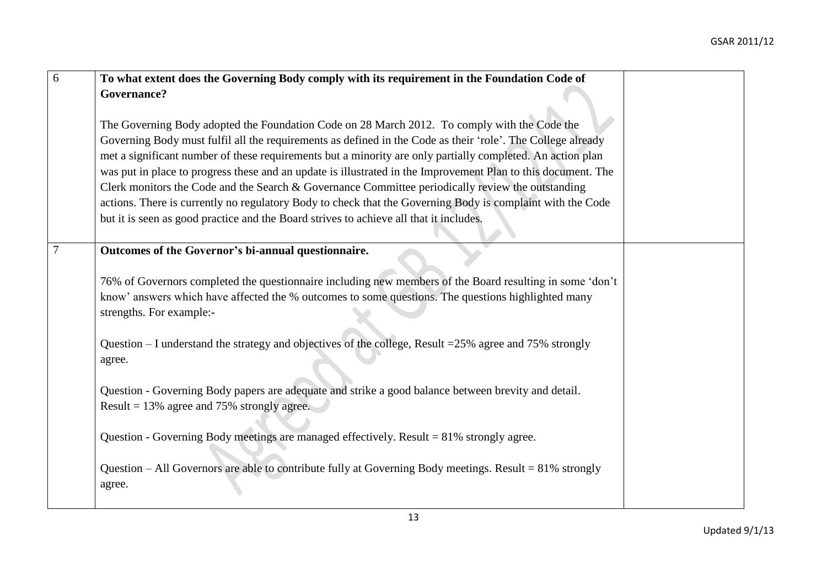| $\overline{6}$ | To what extent does the Governing Body comply with its requirement in the Foundation Code of                                                                                                                                               |  |
|----------------|--------------------------------------------------------------------------------------------------------------------------------------------------------------------------------------------------------------------------------------------|--|
|                | Governance?                                                                                                                                                                                                                                |  |
|                |                                                                                                                                                                                                                                            |  |
|                | The Governing Body adopted the Foundation Code on 28 March 2012. To comply with the Code the                                                                                                                                               |  |
|                | Governing Body must fulfil all the requirements as defined in the Code as their 'role'. The College already                                                                                                                                |  |
|                | met a significant number of these requirements but a minority are only partially completed. An action plan<br>was put in place to progress these and an update is illustrated in the Improvement Plan to this document. The                |  |
|                | Clerk monitors the Code and the Search & Governance Committee periodically review the outstanding                                                                                                                                          |  |
|                | actions. There is currently no regulatory Body to check that the Governing Body is complaint with the Code                                                                                                                                 |  |
|                | but it is seen as good practice and the Board strives to achieve all that it includes.                                                                                                                                                     |  |
|                |                                                                                                                                                                                                                                            |  |
| $\overline{7}$ | Outcomes of the Governor's bi-annual questionnaire.                                                                                                                                                                                        |  |
|                | 76% of Governors completed the questionnaire including new members of the Board resulting in some 'don't<br>know' answers which have affected the % outcomes to some questions. The questions highlighted many<br>strengths. For example:- |  |
|                | Question $-$ I understand the strategy and objectives of the college, Result = $25\%$ agree and 75% strongly<br>agree.                                                                                                                     |  |
|                | Question - Governing Body papers are adequate and strike a good balance between brevity and detail.                                                                                                                                        |  |
|                | Result = $13\%$ agree and 75% strongly agree.                                                                                                                                                                                              |  |
|                | Question - Governing Body meetings are managed effectively. Result = 81% strongly agree.                                                                                                                                                   |  |
|                | Question – All Governors are able to contribute fully at Governing Body meetings. Result = 81% strongly<br>agree.                                                                                                                          |  |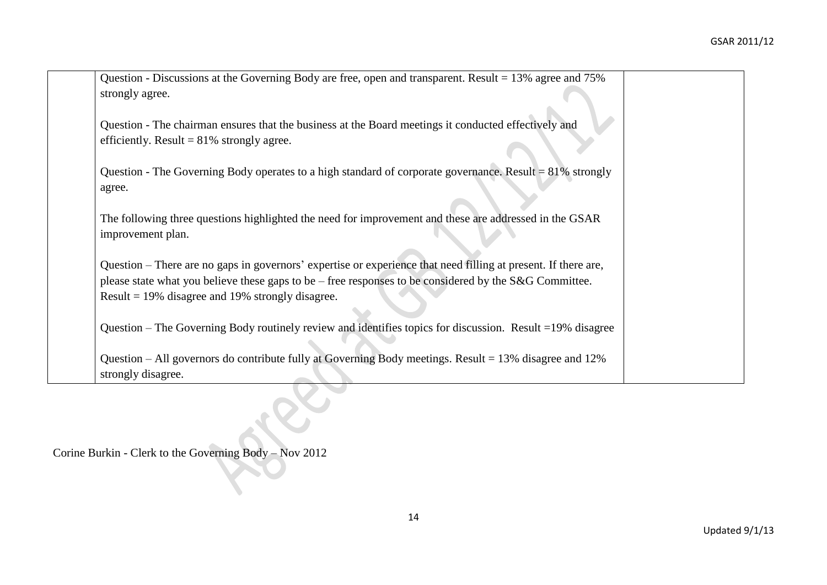| Question - Discussions at the Governing Body are free, open and transparent. Result = $13\%$ agree and $75\%$  |  |
|----------------------------------------------------------------------------------------------------------------|--|
| strongly agree.                                                                                                |  |
|                                                                                                                |  |
| Question - The chairman ensures that the business at the Board meetings it conducted effectively and           |  |
| efficiently. Result = $81\%$ strongly agree.                                                                   |  |
|                                                                                                                |  |
| Question - The Governing Body operates to a high standard of corporate governance. Result $= 81\%$ strongly    |  |
| agree.                                                                                                         |  |
|                                                                                                                |  |
| The following three questions highlighted the need for improvement and these are addressed in the GSAR         |  |
| improvement plan.                                                                                              |  |
|                                                                                                                |  |
| Question – There are no gaps in governors' expertise or experience that need filling at present. If there are, |  |
| please state what you believe these gaps to be – free responses to be considered by the S&G Committee.         |  |
| Result $=$ 19% disagree and 19% strongly disagree.                                                             |  |
|                                                                                                                |  |
| Question – The Governing Body routinely review and identifies topics for discussion. Result = 19% disagree     |  |
|                                                                                                                |  |
| Question – All governors do contribute fully at Governing Body meetings. Result = $13\%$ disagree and $12\%$   |  |
| strongly disagree.                                                                                             |  |

Corine Burkin - Clerk to the Governing Body – Nov 2012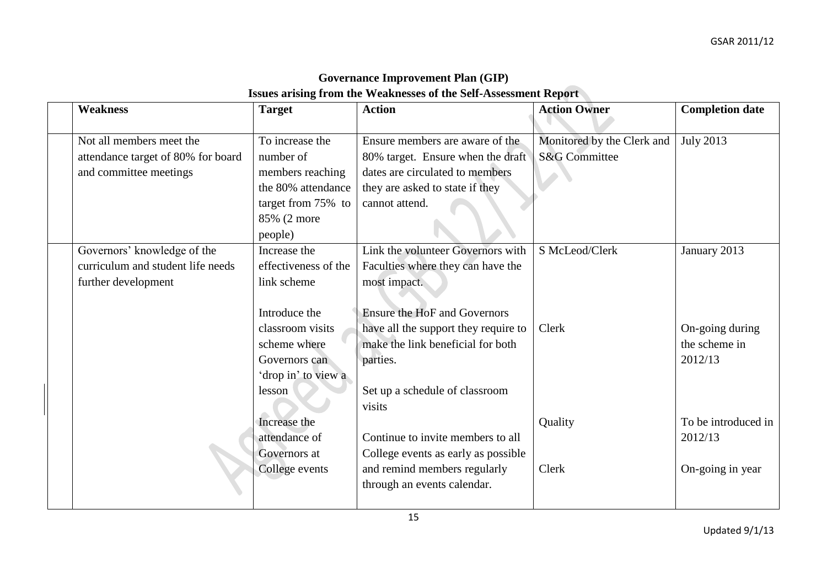| <b>Governance Improvement Plan (GIP)</b>                                |
|-------------------------------------------------------------------------|
| <b>Issues arising from the Weaknesses of the Self-Assessment Report</b> |

| <b>Weakness</b>                                                                          | <b>Target</b>                                                                                                                                              | <b>Action</b>                                                                                                                                                                                                                                                      | <b>Action Owner</b>                                    | <b>Completion date</b>                                      |
|------------------------------------------------------------------------------------------|------------------------------------------------------------------------------------------------------------------------------------------------------------|--------------------------------------------------------------------------------------------------------------------------------------------------------------------------------------------------------------------------------------------------------------------|--------------------------------------------------------|-------------------------------------------------------------|
| Not all members meet the<br>attendance target of 80% for board<br>and committee meetings | To increase the<br>number of<br>members reaching<br>the 80% attendance<br>target from 75% to<br>85% (2 more<br>people)                                     | Ensure members are aware of the<br>80% target. Ensure when the draft<br>dates are circulated to members<br>they are asked to state if they<br>cannot attend.                                                                                                       | Monitored by the Clerk and<br><b>S&amp;G</b> Committee | <b>July 2013</b>                                            |
| Governors' knowledge of the<br>curriculum and student life needs<br>further development  | Increase the<br>effectiveness of the<br>link scheme<br>Introduce the<br>classroom visits<br>scheme where<br>Governors can<br>'drop in' to view a<br>lesson | Link the volunteer Governors with<br>Faculties where they can have the<br>most impact.<br><b>Ensure the HoF and Governors</b><br>have all the support they require to<br>make the link beneficial for both<br>parties.<br>Set up a schedule of classroom<br>visits | S McLeod/Clerk<br>Clerk                                | January 2013<br>On-going during<br>the scheme in<br>2012/13 |
|                                                                                          | Increase the<br>attendance of<br>Governors at<br>College events                                                                                            | Continue to invite members to all<br>College events as early as possible<br>and remind members regularly<br>through an events calendar.                                                                                                                            | Quality<br>Clerk                                       | To be introduced in<br>2012/13<br>On-going in year          |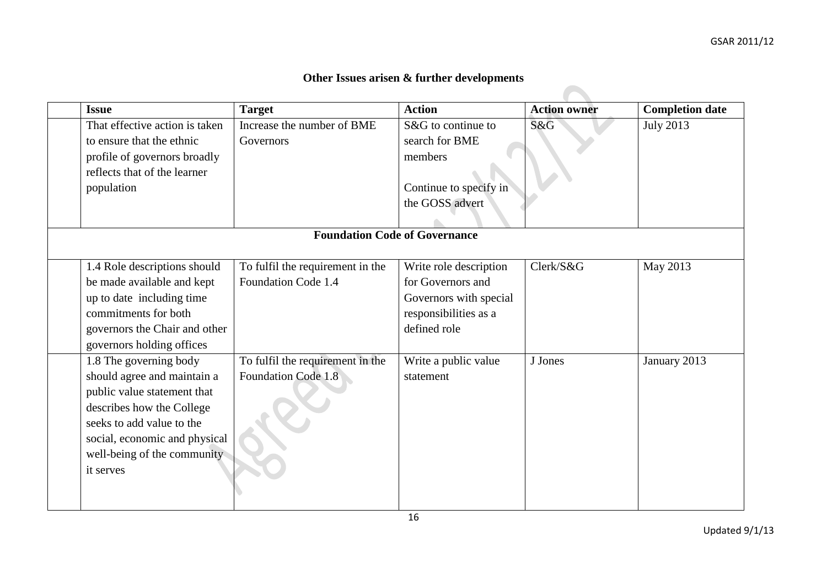## **Other Issues arisen & further developments**

| <b>Issue</b>                   | <b>Target</b>                        | <b>Action</b>          | <b>Action owner</b> | <b>Completion date</b> |
|--------------------------------|--------------------------------------|------------------------|---------------------|------------------------|
| That effective action is taken | Increase the number of BME           | S&G to continue to     | S&G                 | <b>July 2013</b>       |
| to ensure that the ethnic      | Governors                            | search for BME         |                     |                        |
| profile of governors broadly   |                                      | members                |                     |                        |
| reflects that of the learner   |                                      |                        |                     |                        |
| population                     |                                      | Continue to specify in |                     |                        |
|                                |                                      | the GOSS advert        |                     |                        |
|                                |                                      |                        |                     |                        |
|                                | <b>Foundation Code of Governance</b> |                        |                     |                        |
|                                |                                      |                        |                     |                        |
| 1.4 Role descriptions should   | To fulfil the requirement in the     | Write role description | Clerk/S&G           | May 2013               |
| be made available and kept     | Foundation Code 1.4                  | for Governors and      |                     |                        |
| up to date including time      |                                      | Governors with special |                     |                        |
| commitments for both           |                                      | responsibilities as a  |                     |                        |
| governors the Chair and other  |                                      | defined role           |                     |                        |
| governors holding offices      |                                      |                        |                     |                        |
| 1.8 The governing body         | To fulfil the requirement in the     | Write a public value   | J Jones             | January 2013           |
| should agree and maintain a    | Foundation Code 1.8                  | statement              |                     |                        |
| public value statement that    |                                      |                        |                     |                        |
| describes how the College      |                                      |                        |                     |                        |
| seeks to add value to the      |                                      |                        |                     |                        |
| social, economic and physical  |                                      |                        |                     |                        |
| well-being of the community    |                                      |                        |                     |                        |
| it serves                      |                                      |                        |                     |                        |
|                                |                                      |                        |                     |                        |
|                                |                                      |                        |                     |                        |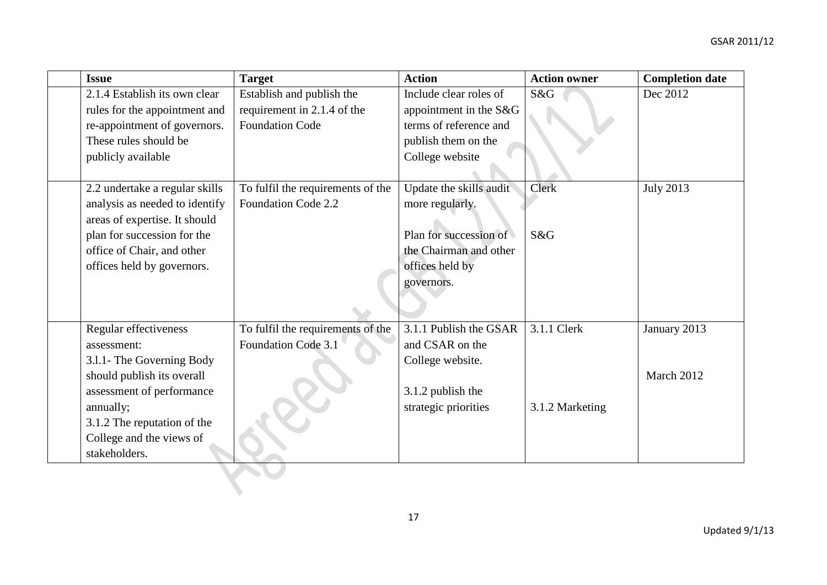| <b>Issue</b>                   | <b>Target</b>                     | <b>Action</b>           | <b>Action owner</b> | <b>Completion date</b> |
|--------------------------------|-----------------------------------|-------------------------|---------------------|------------------------|
| 2.1.4 Establish its own clear  | Establish and publish the         | Include clear roles of  | S&G                 | Dec 2012               |
| rules for the appointment and  | requirement in 2.1.4 of the       | appointment in the S&G  |                     |                        |
| re-appointment of governors.   | <b>Foundation Code</b>            | terms of reference and  |                     |                        |
| These rules should be          |                                   | publish them on the     |                     |                        |
| publicly available             |                                   | College website         |                     |                        |
|                                |                                   |                         |                     |                        |
| 2.2 undertake a regular skills | To fulfil the requirements of the | Update the skills audit | Clerk               | <b>July 2013</b>       |
| analysis as needed to identify | Foundation Code 2.2               | more regularly.         |                     |                        |
| areas of expertise. It should  |                                   |                         |                     |                        |
| plan for succession for the    |                                   | Plan for succession of  | S&G                 |                        |
| office of Chair, and other     |                                   | the Chairman and other  |                     |                        |
| offices held by governors.     |                                   | offices held by         |                     |                        |
|                                |                                   | governors.              |                     |                        |
|                                |                                   |                         |                     |                        |
|                                |                                   |                         |                     |                        |
| Regular effectiveness          | To fulfil the requirements of the | 3.1.1 Publish the GSAR  | 3.1.1 Clerk         | January 2013           |
| assessment:                    | Foundation Code 3.1               | and CSAR on the         |                     |                        |
| 3.1.1- The Governing Body      |                                   | College website.        |                     |                        |
| should publish its overall     |                                   |                         |                     | March 2012             |
| assessment of performance      |                                   | 3.1.2 publish the       |                     |                        |
| annually;                      |                                   | strategic priorities    | 3.1.2 Marketing     |                        |
| 3.1.2 The reputation of the    |                                   |                         |                     |                        |
| College and the views of       |                                   |                         |                     |                        |
| stakeholders.                  |                                   |                         |                     |                        |
|                                |                                   |                         |                     |                        |
|                                |                                   |                         |                     |                        |